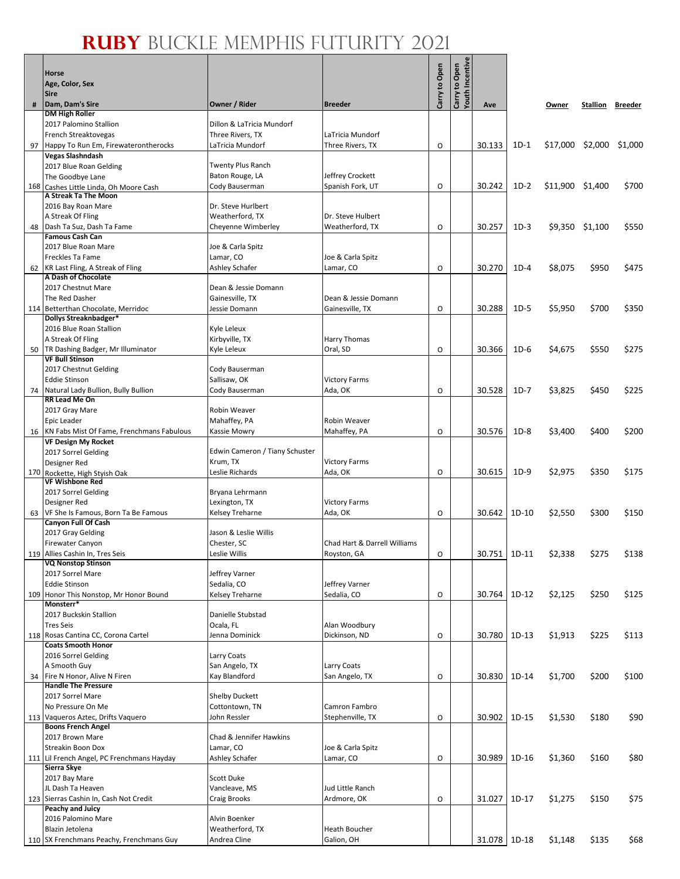$\mathbf{e}$ 

|    | <b>Horse</b><br>Age, Color, Sex<br><b>Sire</b>   |                                            |                              | Carry to Open | Carry to Open<br>Youth Incentive |              |         |                  |                 |         |
|----|--------------------------------------------------|--------------------------------------------|------------------------------|---------------|----------------------------------|--------------|---------|------------------|-----------------|---------|
| #  | Dam, Dam's Sire                                  | Owner / Rider                              | <b>Breeder</b>               |               |                                  | Ave          |         | Owner            | Stallion        | Breeder |
|    | <b>DM High Roller</b><br>2017 Palomino Stallion  | Dillon & LaTricia Mundorf                  |                              |               |                                  |              |         |                  |                 |         |
|    | French Streaktovegas                             | Three Rivers, TX                           | LaTricia Mundorf             |               |                                  |              |         |                  |                 |         |
|    | 97 Happy To Run Em, Firewaterontherocks          | LaTricia Mundorf                           | Three Rivers, TX             | O             |                                  | 30.133       | $1D-1$  | \$17,000 \$2,000 |                 | \$1,000 |
|    | Vegas Slashndash<br>2017 Blue Roan Gelding       | <b>Twenty Plus Ranch</b>                   |                              |               |                                  |              |         |                  |                 |         |
|    | The Goodbye Lane                                 | Baton Rouge, LA                            | Jeffrey Crockett             |               |                                  |              |         |                  |                 |         |
|    | 168 Cashes Little Linda, Oh Moore Cash           | Cody Bauserman                             | Spanish Fork, UT             | O             |                                  | 30.242       | $1D-2$  | \$11,900 \$1,400 |                 | \$700   |
|    | A Streak Ta The Moon<br>2016 Bay Roan Mare       | Dr. Steve Hurlbert                         |                              |               |                                  |              |         |                  |                 |         |
|    | A Streak Of Fling                                | Weatherford, TX                            | Dr. Steve Hulbert            |               |                                  |              |         |                  |                 |         |
| 48 | Dash Ta Suz, Dash Ta Fame                        | Cheyenne Wimberley                         | Weatherford, TX              | 0             |                                  | 30.257       | $1D-3$  |                  | \$9,350 \$1,100 | \$550   |
|    | <b>Famous Cash Can</b><br>2017 Blue Roan Mare    | Joe & Carla Spitz                          |                              |               |                                  |              |         |                  |                 |         |
|    | Freckles Ta Fame                                 | Lamar, CO                                  | Joe & Carla Spitz            |               |                                  |              |         |                  |                 |         |
|    | 62 KR Last Fling, A Streak of Fling              | Ashley Schafer                             | Lamar, CO                    | 0             |                                  | 30.270       | $1D-4$  | \$8,075          | \$950           | \$475   |
|    | A Dash of Chocolate<br>2017 Chestnut Mare        | Dean & Jessie Domann                       |                              |               |                                  |              |         |                  |                 |         |
|    | The Red Dasher                                   | Gainesville, TX                            | Dean & Jessie Domann         |               |                                  |              |         |                  |                 |         |
|    | 114 Betterthan Chocolate, Merridoc               | Jessie Domann                              | Gainesville, TX              | O             |                                  | 30.288       | $1D-5$  | \$5,950          | \$700           | \$350   |
|    | Dollys Streaknbadger*<br>2016 Blue Roan Stallion | Kyle Leleux                                |                              |               |                                  |              |         |                  |                 |         |
|    | A Streak Of Fling                                | Kirbyville, TX                             | Harry Thomas                 |               |                                  |              |         |                  |                 |         |
|    | 50 TR Dashing Badger, Mr Illuminator             | Kyle Leleux                                | Oral, SD                     | O             |                                  | 30.366       | $1D-6$  | \$4,675          | \$550           | \$275   |
|    | <b>VF Bull Stinson</b><br>2017 Chestnut Gelding  | Cody Bauserman                             |                              |               |                                  |              |         |                  |                 |         |
|    | <b>Eddie Stinson</b>                             | Sallisaw, OK                               | <b>Victory Farms</b>         |               |                                  |              |         |                  |                 |         |
|    | 74 Natural Lady Bullion, Bully Bullion           | Cody Bauserman                             | Ada, OK                      | 0             |                                  | 30.528       | $1D-7$  | \$3,825          | \$450           | \$225   |
|    | RR Lead Me On<br>2017 Gray Mare                  | Robin Weaver                               |                              |               |                                  |              |         |                  |                 |         |
|    | Epic Leader                                      | Mahaffey, PA                               | Robin Weaver                 |               |                                  |              |         |                  |                 |         |
|    | 16 KN Fabs Mist Of Fame, Frenchmans Fabulous     | Kassie Mowry                               | Mahaffey, PA                 | O             |                                  | 30.576       | $1D-8$  | \$3,400          | \$400           | \$200   |
|    | <b>VF Design My Rocket</b>                       |                                            |                              |               |                                  |              |         |                  |                 |         |
|    | 2017 Sorrel Gelding<br>Designer Red              | Edwin Cameron / Tiany Schuster<br>Krum, TX | <b>Victory Farms</b>         |               |                                  |              |         |                  |                 |         |
|    | 170 Rockette, High Styish Oak                    | Leslie Richards                            | Ada, OK                      | O             |                                  | 30.615       | $1D-9$  | \$2,975          | \$350           | \$175   |
|    | <b>VF Wishbone Red</b><br>2017 Sorrel Gelding    |                                            |                              |               |                                  |              |         |                  |                 |         |
|    | Designer Red                                     | Bryana Lehrmann<br>Lexington, TX           | <b>Victory Farms</b>         |               |                                  |              |         |                  |                 |         |
|    | 63 VF She Is Famous, Born Ta Be Famous           | Kelsey Treharne                            | Ada, OK                      | 0             |                                  | 30.642       | $1D-10$ | \$2,550          | \$300           | \$150   |
|    | Canyon Full Of Cash<br>2017 Gray Gelding         | Jason & Leslie Willis                      |                              |               |                                  |              |         |                  |                 |         |
|    | <b>Firewater Canyon</b>                          | Chester, SC                                | Chad Hart & Darrell Williams |               |                                  |              |         |                  |                 |         |
|    | 119 Allies Cashin In, Tres Seis                  | Leslie Willis                              | Royston, GA                  | 0             |                                  | 30.751 1D-11 |         | \$2,338          | \$275           | \$138   |
|    | <b>VQ Nonstop Stinson</b><br>2017 Sorrel Mare    | Jeffrey Varner                             |                              |               |                                  |              |         |                  |                 |         |
|    | <b>Eddie Stinson</b>                             | Sedalia, CO                                | Jeffrey Varner               |               |                                  |              |         |                  |                 |         |
|    | 109 Honor This Nonstop, Mr Honor Bound           | Kelsey Treharne                            | Sedalia, CO                  | O             |                                  | 30.764       | $1D-12$ | \$2,125          | \$250           | \$125   |
|    | Monsterr*<br>2017 Buckskin Stallion              | Danielle Stubstad                          |                              |               |                                  |              |         |                  |                 |         |
|    | <b>Tres Seis</b>                                 | Ocala, FL                                  | Alan Woodbury                |               |                                  |              |         |                  |                 |         |
|    | 118 Rosas Cantina CC, Corona Cartel              | Jenna Dominick                             | Dickinson, ND                | O             |                                  | 30.780       | $1D-13$ | \$1,913          | \$225           | \$113   |
|    | <b>Coats Smooth Honor</b><br>2016 Sorrel Gelding | Larry Coats                                |                              |               |                                  |              |         |                  |                 |         |
|    | A Smooth Guy                                     | San Angelo, TX                             | Larry Coats                  |               |                                  |              |         |                  |                 |         |
|    | 34 Fire N Honor, Alive N Firen                   | Kay Blandford                              | San Angelo, TX               | O             |                                  | 30.830       | 1D-14   | \$1,700          | \$200           | \$100   |
|    | <b>Handle The Pressure</b><br>2017 Sorrel Mare   | <b>Shelby Duckett</b>                      |                              |               |                                  |              |         |                  |                 |         |
|    | No Pressure On Me                                | Cottontown, TN                             | Camron Fambro                |               |                                  |              |         |                  |                 |         |
|    | 113 Vaqueros Aztec, Drifts Vaquero               | John Ressler                               | Stephenville, TX             | O             |                                  | 30.902       | $1D-15$ | \$1,530          | \$180           | \$90    |
|    | <b>Boons French Angel</b><br>2017 Brown Mare     | Chad & Jennifer Hawkins                    |                              |               |                                  |              |         |                  |                 |         |
|    | <b>Streakin Boon Dox</b>                         | Lamar, CO                                  | Joe & Carla Spitz            |               |                                  |              |         |                  |                 |         |
|    | 111 Lil French Angel, PC Frenchmans Hayday       | Ashley Schafer                             | Lamar, CO                    | O             |                                  | 30.989       | $1D-16$ | \$1,360          | \$160           | \$80    |
|    | Sierra Skye<br>2017 Bay Mare                     | Scott Duke                                 |                              |               |                                  |              |         |                  |                 |         |
|    | JL Dash Ta Heaven                                | Vancleave, MS                              | Jud Little Ranch             |               |                                  |              |         |                  |                 |         |
|    | 123 Sierras Cashin In, Cash Not Credit           | Craig Brooks                               | Ardmore, OK                  | O             |                                  | 31.027       | $1D-17$ | \$1,275          | \$150           | \$75    |
|    | <b>Peachy and Juicy</b><br>2016 Palomino Mare    | Alvin Boenker                              |                              |               |                                  |              |         |                  |                 |         |
|    | Blazin Jetolena                                  | Weatherford, TX                            | <b>Heath Boucher</b>         |               |                                  |              |         |                  |                 |         |
|    | 110 SX Frenchmans Peachy, Frenchmans Guy         | Andrea Cline                               | Galion, OH                   |               |                                  | 31.078 1D-18 |         | \$1,148          | \$135           | \$68    |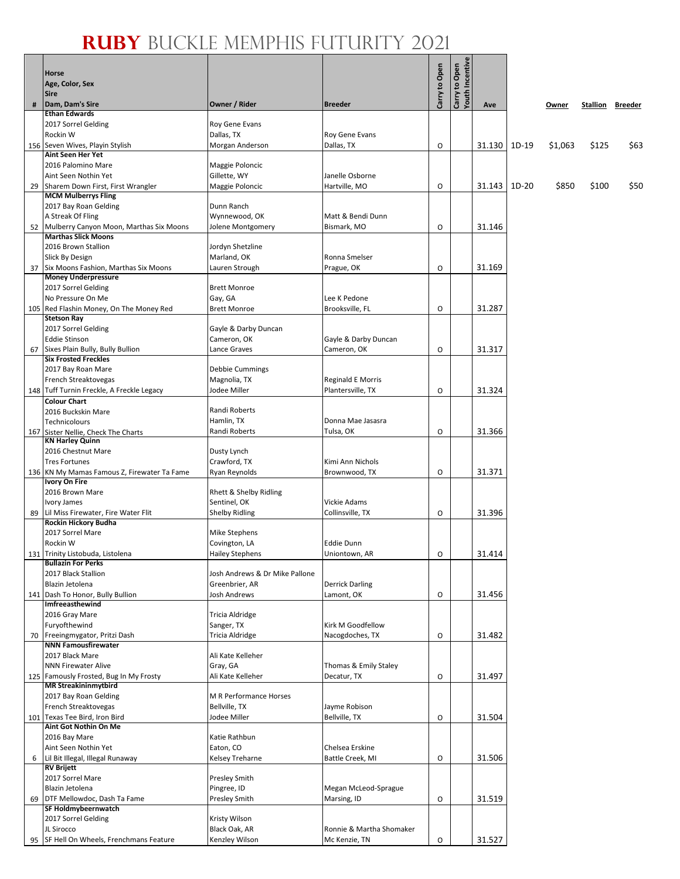୍କ

|    | Horse<br>Age, Color, Sex<br><b>Sire</b>                       |                                 |                                           | Carry to Open | Carry to Open<br>Youth Incentive |        |       |         |          |         |
|----|---------------------------------------------------------------|---------------------------------|-------------------------------------------|---------------|----------------------------------|--------|-------|---------|----------|---------|
| #  | Dam, Dam's Sire                                               | Owner / Rider                   | <b>Breeder</b>                            |               |                                  | Ave    |       | Owner   | Stallion | Breeder |
|    | <b>Ethan Edwards</b>                                          | <b>Roy Gene Evans</b>           |                                           |               |                                  |        |       |         |          |         |
|    | 2017 Sorrel Gelding<br>Rockin W                               | Dallas, TX                      | Roy Gene Evans                            |               |                                  |        |       |         |          |         |
|    | 156 Seven Wives, Playin Stylish                               | Morgan Anderson                 | Dallas, TX                                | O             |                                  | 31.130 | 1D-19 | \$1,063 | \$125    | \$63    |
|    | <b>Aint Seen Her Yet</b>                                      |                                 |                                           |               |                                  |        |       |         |          |         |
|    | 2016 Palomino Mare                                            | Maggie Poloncic                 |                                           |               |                                  |        |       |         |          |         |
|    | Aint Seen Nothin Yet<br>Sharem Down First, First Wrangler     | Gillette, WY<br>Maggie Poloncic | Janelle Osborne<br>Hartville, MO          | O             |                                  | 31.143 | 1D-20 | \$850   | \$100    | \$50    |
| 29 | <b>MCM Mulberrys Fling</b>                                    |                                 |                                           |               |                                  |        |       |         |          |         |
|    | 2017 Bay Roan Gelding                                         | Dunn Ranch                      |                                           |               |                                  |        |       |         |          |         |
|    | A Streak Of Fling                                             | Wynnewood, OK                   | Matt & Bendi Dunn                         |               |                                  |        |       |         |          |         |
|    | 52 Mulberry Canyon Moon, Marthas Six Moons                    | Jolene Montgomery               | Bismark, MO                               | O             |                                  | 31.146 |       |         |          |         |
|    | <b>Marthas Slick Moons</b><br>2016 Brown Stallion             | Jordyn Shetzline                |                                           |               |                                  |        |       |         |          |         |
|    | <b>Slick By Design</b>                                        | Marland, OK                     | Ronna Smelser                             |               |                                  |        |       |         |          |         |
|    | 37 Six Moons Fashion, Marthas Six Moons                       | Lauren Strough                  | Prague, OK                                | O             |                                  | 31.169 |       |         |          |         |
|    | <b>Money Underpressure</b>                                    |                                 |                                           |               |                                  |        |       |         |          |         |
|    | 2017 Sorrel Gelding                                           | <b>Brett Monroe</b>             |                                           |               |                                  |        |       |         |          |         |
|    | No Pressure On Me<br>105 Red Flashin Money, On The Money Red  | Gay, GA<br><b>Brett Monroe</b>  | Lee K Pedone<br>Brooksville, FL           | O             |                                  | 31.287 |       |         |          |         |
|    | <b>Stetson Ray</b>                                            |                                 |                                           |               |                                  |        |       |         |          |         |
|    | 2017 Sorrel Gelding                                           | Gayle & Darby Duncan            |                                           |               |                                  |        |       |         |          |         |
|    | <b>Eddie Stinson</b>                                          | Cameron, OK                     | Gayle & Darby Duncan                      |               |                                  |        |       |         |          |         |
| 67 | Sixes Plain Bully, Bully Bullion                              | Lance Graves                    | Cameron, OK                               | O             |                                  | 31.317 |       |         |          |         |
|    | <b>Six Frosted Freckles</b><br>2017 Bay Roan Mare             | Debbie Cummings                 |                                           |               |                                  |        |       |         |          |         |
|    | French Streaktovegas                                          | Magnolia, TX                    | <b>Reginald E Morris</b>                  |               |                                  |        |       |         |          |         |
|    | 148 Tuff Turnin Freckle, A Freckle Legacy                     | Jodee Miller                    | Plantersville, TX                         | O             |                                  | 31.324 |       |         |          |         |
|    | <b>Colour Chart</b>                                           |                                 |                                           |               |                                  |        |       |         |          |         |
|    | 2016 Buckskin Mare                                            | Randi Roberts                   |                                           |               |                                  |        |       |         |          |         |
|    | Technicolours                                                 | Hamlin, TX<br>Randi Roberts     | Donna Mae Jasasra<br>Tulsa, OK            | O             |                                  | 31.366 |       |         |          |         |
|    | 167 Sister Nellie, Check The Charts<br><b>KN Harley Quinn</b> |                                 |                                           |               |                                  |        |       |         |          |         |
|    | 2016 Chestnut Mare                                            | Dusty Lynch                     |                                           |               |                                  |        |       |         |          |         |
|    | <b>Tres Fortunes</b>                                          | Crawford, TX                    | Kimi Ann Nichols                          |               |                                  |        |       |         |          |         |
|    | 136 KN My Mamas Famous Z, Firewater Ta Fame<br>Ivory On Fire  | Ryan Reynolds                   | Brownwood, TX                             | O             |                                  | 31.371 |       |         |          |         |
|    | 2016 Brown Mare                                               | Rhett & Shelby Ridling          |                                           |               |                                  |        |       |         |          |         |
|    | Ivory James                                                   | Sentinel, OK                    | Vickie Adams                              |               |                                  |        |       |         |          |         |
| 89 | Lil Miss Firewater, Fire Water Flit                           | <b>Shelby Ridling</b>           | Collinsville, TX                          | O             |                                  | 31.396 |       |         |          |         |
|    | Rockin Hickory Budha                                          |                                 |                                           |               |                                  |        |       |         |          |         |
|    | 2017 Sorrel Mare<br>Rockin W                                  | Mike Stephens<br>Covington, LA  | <b>Eddie Dunn</b>                         |               |                                  |        |       |         |          |         |
|    | 131 Trinity Listobuda, Listolena                              | <b>Hailey Stephens</b>          | Uniontown, AR                             | 0             |                                  | 31.414 |       |         |          |         |
|    | <b>Bullazin For Perks</b>                                     |                                 |                                           |               |                                  |        |       |         |          |         |
|    | 2017 Black Stallion                                           | Josh Andrews & Dr Mike Pallone  |                                           |               |                                  |        |       |         |          |         |
|    | Blazin Jetolena                                               | Greenbrier, AR                  | <b>Derrick Darling</b>                    |               |                                  |        |       |         |          |         |
|    | 141 Dash To Honor, Bully Bullion<br>Imfreeasthewind           | Josh Andrews                    | Lamont, OK                                | O             |                                  | 31.456 |       |         |          |         |
|    | 2016 Gray Mare                                                | Tricia Aldridge                 |                                           |               |                                  |        |       |         |          |         |
|    | Furyofthewind                                                 | Sanger, TX                      | Kirk M Goodfellow                         |               |                                  |        |       |         |          |         |
|    | 70 Freeingmygator, Pritzi Dash                                | Tricia Aldridge                 | Nacogdoches, TX                           | O             |                                  | 31.482 |       |         |          |         |
|    | <b>NNN Famousfirewater</b><br>2017 Black Mare                 | Ali Kate Kelleher               |                                           |               |                                  |        |       |         |          |         |
|    | <b>NNN Firewater Alive</b>                                    | Gray, GA                        | Thomas & Emily Staley                     |               |                                  |        |       |         |          |         |
|    | 125 Famously Frosted, Bug In My Frosty                        | Ali Kate Kelleher               | Decatur, TX                               | O             |                                  | 31.497 |       |         |          |         |
|    | <b>MR Streakininmytbird</b>                                   |                                 |                                           |               |                                  |        |       |         |          |         |
|    | 2017 Bay Roan Gelding                                         | M R Performance Horses          |                                           |               |                                  |        |       |         |          |         |
|    | French Streaktovegas<br>101 Texas Tee Bird, Iron Bird         | Bellville, TX<br>Jodee Miller   | Jayme Robison<br>Bellville, TX            | O             |                                  | 31.504 |       |         |          |         |
|    | Aint Got Nothin On Me                                         |                                 |                                           |               |                                  |        |       |         |          |         |
|    | 2016 Bay Mare                                                 | Katie Rathbun                   |                                           |               |                                  |        |       |         |          |         |
|    | Aint Seen Nothin Yet                                          | Eaton, CO                       | Chelsea Erskine                           |               |                                  |        |       |         |          |         |
| 6  | Lil Bit Illegal, Illegal Runaway                              | Kelsey Treharne                 | Battle Creek, MI                          | O             |                                  | 31.506 |       |         |          |         |
|    | <b>RV Brijett</b><br>2017 Sorrel Mare                         | Presley Smith                   |                                           |               |                                  |        |       |         |          |         |
|    | Blazin Jetolena                                               | Pingree, ID                     | Megan McLeod-Sprague                      |               |                                  |        |       |         |          |         |
| 69 | DTF Mellowdoc, Dash Ta Fame                                   | <b>Presley Smith</b>            | Marsing, ID                               | O             |                                  | 31.519 |       |         |          |         |
|    | SF Holdmybeernwatch                                           |                                 |                                           |               |                                  |        |       |         |          |         |
|    | 2017 Sorrel Gelding                                           | Kristy Wilson                   |                                           |               |                                  |        |       |         |          |         |
|    | JL Sirocco<br>95 SF Hell On Wheels, Frenchmans Feature        | Black Oak, AR<br>Kenzley Wilson | Ronnie & Martha Shomaker<br>Mc Kenzie, TN | O             |                                  | 31.527 |       |         |          |         |
|    |                                                               |                                 |                                           |               |                                  |        |       |         |          |         |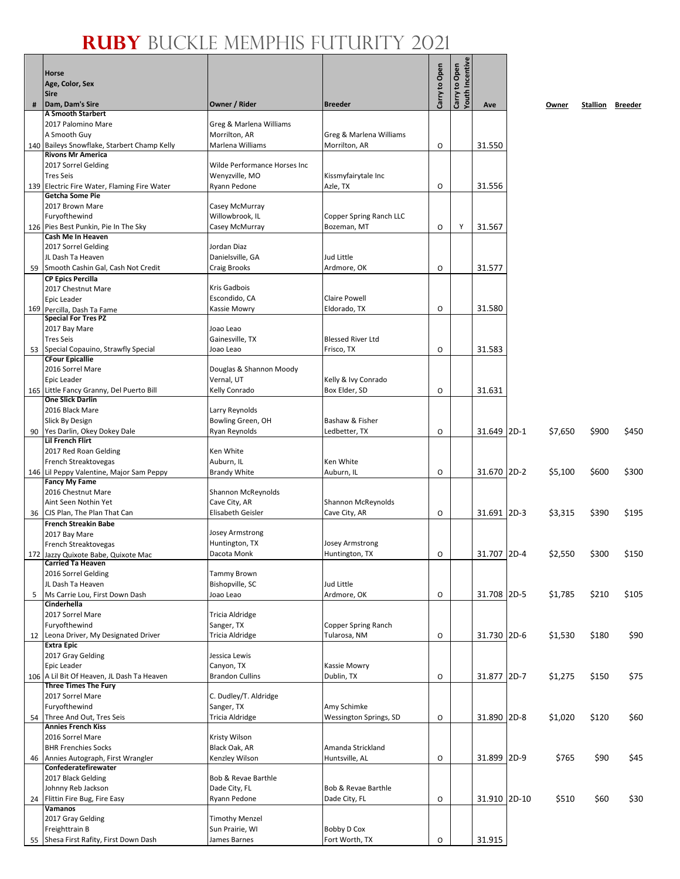|   |                                                                   |                                       |                                       |               | Carry to Open<br>Youth Incentive |              |         |       |                         |
|---|-------------------------------------------------------------------|---------------------------------------|---------------------------------------|---------------|----------------------------------|--------------|---------|-------|-------------------------|
|   | <b>Horse</b><br>Age, Color, Sex                                   |                                       |                                       | Carry to Open |                                  |              |         |       |                         |
|   | <b>Sire</b>                                                       |                                       |                                       |               |                                  |              |         |       |                         |
| # | Dam, Dam's Sire                                                   | Owner / Rider                         | <b>Breeder</b>                        |               |                                  | Ave          | Owner   |       | <b>Stallion Breeder</b> |
|   | <b>A Smooth Starbert</b><br>2017 Palomino Mare                    | Greg & Marlena Williams               |                                       |               |                                  |              |         |       |                         |
|   | A Smooth Guy                                                      | Morrilton, AR                         | Greg & Marlena Williams               |               |                                  |              |         |       |                         |
|   | 140 Baileys Snowflake, Starbert Champ Kelly                       | Marlena Williams                      | Morrilton, AR                         | O             |                                  | 31.550       |         |       |                         |
|   | <b>Rivons Mr America</b>                                          |                                       |                                       |               |                                  |              |         |       |                         |
|   | 2017 Sorrel Gelding                                               | Wilde Performance Horses Inc          |                                       |               |                                  |              |         |       |                         |
|   | <b>Tres Seis</b><br>139 Electric Fire Water, Flaming Fire Water   | Wenyzville, MO<br>Ryann Pedone        | Kissmyfairytale Inc<br>Azle, TX       | O             |                                  | 31.556       |         |       |                         |
|   | Getcha Some Pie                                                   |                                       |                                       |               |                                  |              |         |       |                         |
|   | 2017 Brown Mare                                                   | Casey McMurray                        |                                       |               |                                  |              |         |       |                         |
|   | Furyofthewind                                                     | Willowbrook, IL                       | Copper Spring Ranch LLC               |               |                                  |              |         |       |                         |
|   | 126 Pies Best Punkin, Pie In The Sky<br>Cash Me In Heaven         | Casey McMurray                        | Bozeman, MT                           | 0             | Υ                                | 31.567       |         |       |                         |
|   | 2017 Sorrel Gelding                                               | Jordan Diaz                           |                                       |               |                                  |              |         |       |                         |
|   | JL Dash Ta Heaven                                                 | Danielsville, GA                      | Jud Little                            |               |                                  |              |         |       |                         |
|   | 59 Smooth Cashin Gal, Cash Not Credit                             | Craig Brooks                          | Ardmore, OK                           | O             |                                  | 31.577       |         |       |                         |
|   | <b>CP Epics Percilla</b><br>2017 Chestnut Mare                    | Kris Gadbois                          |                                       |               |                                  |              |         |       |                         |
|   | Epic Leader                                                       | Escondido, CA                         | <b>Claire Powell</b>                  |               |                                  |              |         |       |                         |
|   | 169 Percilla, Dash Ta Fame                                        | Kassie Mowry                          | Eldorado, TX                          | O             |                                  | 31.580       |         |       |                         |
|   | <b>Special For Tres PZ</b><br>2017 Bay Mare                       | Joao Leao                             |                                       |               |                                  |              |         |       |                         |
|   | <b>Tres Seis</b>                                                  | Gainesville, TX                       | <b>Blessed River Ltd</b>              |               |                                  |              |         |       |                         |
|   | 53 Special Copauino, Strawfly Special                             | Joao Leao                             | Frisco, TX                            | $\circ$       |                                  | 31.583       |         |       |                         |
|   | <b>CFour Epicallie</b>                                            |                                       |                                       |               |                                  |              |         |       |                         |
|   | 2016 Sorrel Mare<br>Epic Leader                                   | Douglas & Shannon Moody<br>Vernal, UT | Kelly & Ivy Conrado                   |               |                                  |              |         |       |                         |
|   | 165 Little Fancy Granny, Del Puerto Bill                          | Kelly Conrado                         | Box Elder, SD                         | O             |                                  | 31.631       |         |       |                         |
|   | <b>One Slick Darlin</b>                                           |                                       |                                       |               |                                  |              |         |       |                         |
|   | 2016 Black Mare                                                   | Larry Reynolds                        |                                       |               |                                  |              |         |       |                         |
|   | Slick By Design<br>90 Yes Darlin, Okey Dokey Dale                 | Bowling Green, OH<br>Ryan Reynolds    | Bashaw & Fisher<br>Ledbetter, TX      | $\circ$       |                                  | 31.649 2D-1  | \$7,650 | \$900 | \$450                   |
|   | <b>Lil French Flirt</b>                                           |                                       |                                       |               |                                  |              |         |       |                         |
|   | 2017 Red Roan Gelding                                             | Ken White                             |                                       |               |                                  |              |         |       |                         |
|   | French Streaktovegas                                              | Auburn, IL                            | Ken White                             |               |                                  |              |         |       |                         |
|   | 146 Lil Peppy Valentine, Major Sam Peppy<br><b>Fancy My Fame</b>  | <b>Brandy White</b>                   | Auburn, IL                            | O             |                                  | 31.670 2D-2  | \$5,100 | \$600 | \$300                   |
|   | 2016 Chestnut Mare                                                | Shannon McReynolds                    |                                       |               |                                  |              |         |       |                         |
|   | Aint Seen Nothin Yet                                              | Cave City, AR                         | <b>Shannon McReynolds</b>             |               |                                  |              |         |       |                         |
|   | 36 CJS Plan, The Plan That Can                                    | Elisabeth Geisler                     | Cave City, AR                         | $\circ$       |                                  | 31.691 2D-3  | \$3,315 | \$390 | \$195                   |
|   | <b>French Streakin Babe</b><br>2017 Bay Mare                      | Josey Armstrong                       |                                       |               |                                  |              |         |       |                         |
|   | French Streaktovegas                                              | Huntington, TX                        | <b>Josey Armstrong</b>                |               |                                  |              |         |       |                         |
|   | 172 Jazzy Quixote Babe, Quixote Mac                               | Dacota Monk                           | Huntington, TX                        | 0             |                                  | 31.707 2D-4  | \$2,550 | \$300 | \$150                   |
|   | <b>Carried Ta Heaven</b><br>2016 Sorrel Gelding                   | Tammy Brown                           |                                       |               |                                  |              |         |       |                         |
|   | JL Dash Ta Heaven                                                 | Bishopville, SC                       | Jud Little                            |               |                                  |              |         |       |                         |
| 5 | Ms Carrie Lou, First Down Dash                                    | Joao Leao                             | Ardmore, OK                           | O             |                                  | 31.708 2D-5  | \$1,785 | \$210 | \$105                   |
|   | Cinderhella<br>2017 Sorrel Mare                                   | Tricia Aldridge                       |                                       |               |                                  |              |         |       |                         |
|   | Furyofthewind                                                     | Sanger, TX                            | Copper Spring Ranch                   |               |                                  |              |         |       |                         |
|   | 12 Leona Driver, My Designated Driver                             | Tricia Aldridge                       | Tularosa, NM                          | O             |                                  | 31.730 2D-6  | \$1,530 | \$180 | \$90                    |
|   | <b>Extra Epic</b>                                                 |                                       |                                       |               |                                  |              |         |       |                         |
|   | 2017 Gray Gelding<br><b>Epic Leader</b>                           | Jessica Lewis<br>Canyon, TX           | Kassie Mowry                          |               |                                  |              |         |       |                         |
|   | 106 A Lil Bit Of Heaven, JL Dash Ta Heaven                        | <b>Brandon Cullins</b>                | Dublin, TX                            | O             |                                  | 31.877 2D-7  | \$1,275 | \$150 | \$75                    |
|   | <b>Three Times The Fury</b>                                       |                                       |                                       |               |                                  |              |         |       |                         |
|   | 2017 Sorrel Mare                                                  | C. Dudley/T. Aldridge                 |                                       |               |                                  |              |         |       |                         |
|   | Furyofthewind<br>54 Three And Out, Tres Seis                      | Sanger, TX<br>Tricia Aldridge         | Amy Schimke<br>Wessington Springs, SD | O             |                                  | 31.890 2D-8  | \$1,020 | \$120 | \$60                    |
|   | <b>Annies French Kiss</b>                                         |                                       |                                       |               |                                  |              |         |       |                         |
|   | 2016 Sorrel Mare                                                  | Kristy Wilson                         |                                       |               |                                  |              |         |       |                         |
|   | <b>BHR Frenchies Socks</b><br>46 Annies Autograph, First Wrangler | Black Oak, AR<br>Kenzley Wilson       | Amanda Strickland<br>Huntsville, AL   | O             |                                  | 31.899 2D-9  | \$765   | \$90  | \$45                    |
|   | Confederatefirewater                                              |                                       |                                       |               |                                  |              |         |       |                         |
|   | 2017 Black Gelding                                                | Bob & Revae Barthle                   |                                       |               |                                  |              |         |       |                         |
|   | Johnny Reb Jackson                                                | Dade City, FL                         | Bob & Revae Barthle                   |               |                                  |              |         |       |                         |
|   | 24 Flittin Fire Bug, Fire Easy<br>Vamanos                         | Ryann Pedone                          | Dade City, FL                         | O             |                                  | 31.910 2D-10 | \$510   | \$60  | \$30                    |
|   | 2017 Gray Gelding                                                 | <b>Timothy Menzel</b>                 |                                       |               |                                  |              |         |       |                         |
|   | Freighttrain B                                                    | Sun Prairie, WI                       | Bobby D Cox                           |               |                                  |              |         |       |                         |
|   | 55 Shesa First Rafity, First Down Dash                            | James Barnes                          | Fort Worth, TX                        | $\mathsf O$   |                                  | 31.915       |         |       |                         |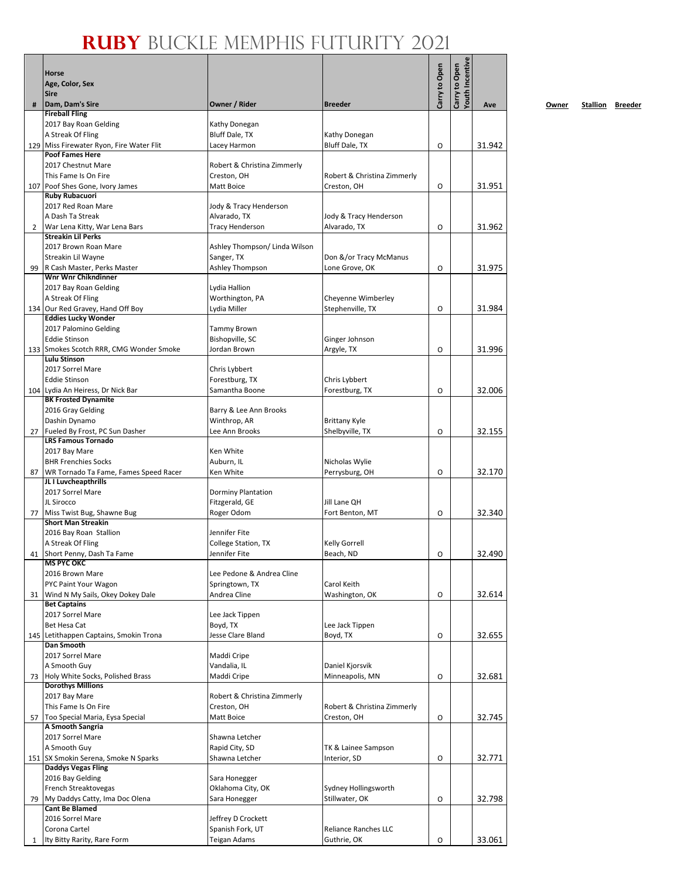|    | <b>Horse</b><br>Age, Color, Sex                                |                                    |                                            | Carry to Open | <b>routh Incentive</b><br>Carry to Open |        |
|----|----------------------------------------------------------------|------------------------------------|--------------------------------------------|---------------|-----------------------------------------|--------|
|    | <b>Sire</b>                                                    |                                    |                                            |               |                                         |        |
| #  | Dam, Dam's Sire                                                | Owner / Rider                      | <b>Breeder</b>                             |               |                                         | Ave    |
|    | <b>Fireball Fling</b><br>2017 Bay Roan Gelding                 | Kathy Donegan                      |                                            |               |                                         |        |
|    | A Streak Of Fling                                              | Bluff Dale, TX                     | Kathy Donegan                              |               |                                         |        |
|    | 129 Miss Firewater Ryon, Fire Water Flit                       | Lacey Harmon                       | Bluff Dale, TX                             | $\circ$       |                                         | 31.942 |
|    | <b>Poof Fames Here</b>                                         |                                    |                                            |               |                                         |        |
|    | 2017 Chestnut Mare<br>This Fame Is On Fire                     | Robert & Christina Zimmerly        |                                            |               |                                         |        |
|    | 107 Poof Shes Gone, Ivory James                                | Creston, OH<br>Matt Boice          | Robert & Christina Zimmerly<br>Creston, OH | O             |                                         | 31.951 |
|    | Ruby Rubacuori                                                 |                                    |                                            |               |                                         |        |
|    | 2017 Red Roan Mare                                             | Jody & Tracy Henderson             |                                            |               |                                         |        |
|    | A Dash Ta Streak                                               | Alvarado, TX                       | Jody & Tracy Henderson                     |               |                                         |        |
| 2  | War Lena Kitty, War Lena Bars<br><b>Streakin Lil Perks</b>     | <b>Tracy Henderson</b>             | Alvarado, TX                               | O             |                                         | 31.962 |
|    | 2017 Brown Roan Mare                                           | Ashley Thompson/ Linda Wilson      |                                            |               |                                         |        |
|    | Streakin Lil Wayne                                             | Sanger, TX                         | Don &/or Tracy McManus                     |               |                                         |        |
| 99 | R Cash Master, Perks Master                                    | Ashley Thompson                    | Lone Grove, OK                             | O             |                                         | 31.975 |
|    | <b>Wnr Wnr Chikndinner</b>                                     |                                    |                                            |               |                                         |        |
|    | 2017 Bay Roan Gelding<br>A Streak Of Fling                     | Lydia Hallion<br>Worthington, PA   | Cheyenne Wimberley                         |               |                                         |        |
|    | 134 Our Red Gravey, Hand Off Boy                               | Lydia Miller                       | Stephenville, TX                           | O             |                                         | 31.984 |
|    | <b>Eddies Lucky Wonder</b>                                     |                                    |                                            |               |                                         |        |
|    | 2017 Palomino Gelding                                          | Tammy Brown                        |                                            |               |                                         |        |
|    | <b>Eddie Stinson</b>                                           | Bishopville, SC<br>Jordan Brown    | Ginger Johnson                             | O             |                                         | 31.996 |
|    | 133 Smokes Scotch RRR, CMG Wonder Smoke<br><b>Lulu Stinson</b> |                                    | Argyle, TX                                 |               |                                         |        |
|    | 2017 Sorrel Mare                                               | Chris Lybbert                      |                                            |               |                                         |        |
|    | <b>Eddie Stinson</b>                                           | Forestburg, TX                     | Chris Lybbert                              |               |                                         |        |
|    | 104 Lydia An Heiress, Dr Nick Bar                              | Samantha Boone                     | Forestburg, TX                             | O             |                                         | 32.006 |
|    | <b>BK Frosted Dynamite</b><br>2016 Gray Gelding                | Barry & Lee Ann Brooks             |                                            |               |                                         |        |
|    | Dashin Dynamo                                                  | Winthrop, AR                       | <b>Brittany Kyle</b>                       |               |                                         |        |
| 27 | Fueled By Frost, PC Sun Dasher                                 | Lee Ann Brooks                     | Shelbyville, TX                            | $\circ$       |                                         | 32.155 |
|    | <b>LRS Famous Tornado</b>                                      |                                    |                                            |               |                                         |        |
|    | 2017 Bay Mare<br><b>BHR Frenchies Socks</b>                    | Ken White<br>Auburn, IL            | Nicholas Wylie                             |               |                                         |        |
| 87 | WR Tornado Ta Fame, Fames Speed Racer                          | Ken White                          | Perrysburg, OH                             | O             |                                         | 32.170 |
|    | JL I Luvcheapthrills                                           |                                    |                                            |               |                                         |        |
|    | 2017 Sorrel Mare                                               | <b>Dorminy Plantation</b>          |                                            |               |                                         |        |
|    | JL Sirocco                                                     | Fitzgerald, GE                     | Jill Lane QH                               |               |                                         |        |
| 77 | Miss Twist Bug, Shawne Bug<br><b>Short Man Streakin</b>        | Roger Odom                         | Fort Benton, MT                            | O             |                                         | 32.340 |
|    | 2016 Bay Roan Stallion                                         | Jennifer Fite                      |                                            |               |                                         |        |
|    | A Streak Of Fling                                              | College Station, TX                | <b>Kelly Gorrell</b>                       |               |                                         |        |
|    | 41 Short Penny, Dash Ta Fame                                   | Jennifer Fite                      | Beach, ND                                  | O             |                                         | 32.490 |
|    | <b>MS PYC OKC</b><br>2016 Brown Mare                           | Lee Pedone & Andrea Cline          |                                            |               |                                         |        |
|    | PYC Paint Your Wagon                                           | Springtown, TX                     | Carol Keith                                |               |                                         |        |
| 31 | Wind N My Sails, Okey Dokey Dale                               | Andrea Cline                       | Washington, OK                             | O             |                                         | 32.614 |
|    | <b>Bet Captains</b>                                            |                                    |                                            |               |                                         |        |
|    | 2017 Sorrel Mare<br>Bet Hesa Cat                               | Lee Jack Tippen<br>Boyd, TX        | Lee Jack Tippen                            |               |                                         |        |
|    | 145 Letithappen Captains, Smokin Trona                         | Jesse Clare Bland                  | Boyd, TX                                   | O             |                                         | 32.655 |
|    | <b>Dan Smooth</b>                                              |                                    |                                            |               |                                         |        |
|    | 2017 Sorrel Mare                                               | Maddi Cripe                        |                                            |               |                                         |        |
|    | A Smooth Guy                                                   | Vandalia, IL                       | Daniel Kjorsvik                            |               |                                         |        |
| 73 | Holy White Socks, Polished Brass<br><b>Dorothys Millions</b>   | Maddi Cripe                        | Minneapolis, MN                            | O             |                                         | 32.681 |
|    | 2017 Bay Mare                                                  | Robert & Christina Zimmerly        |                                            |               |                                         |        |
|    | This Fame Is On Fire                                           | Creston, OH                        | Robert & Christina Zimmerly                |               |                                         |        |
| 57 | Too Special Maria, Eysa Special                                | Matt Boice                         | Creston, OH                                | O             |                                         | 32.745 |
|    | A Smooth Sangria<br>2017 Sorrel Mare                           | Shawna Letcher                     |                                            |               |                                         |        |
|    | A Smooth Guy                                                   | Rapid City, SD                     | TK & Lainee Sampson                        |               |                                         |        |
|    | 151 SX Smokin Serena, Smoke N Sparks                           | Shawna Letcher                     | Interior, SD                               | O             |                                         | 32.771 |
|    | <b>Daddys Vegas Fling</b>                                      |                                    |                                            |               |                                         |        |
|    | 2016 Bay Gelding                                               | Sara Honegger                      |                                            |               |                                         |        |
| 79 | French Streaktovegas<br>My Daddys Catty, Ima Doc Olena         | Oklahoma City, OK<br>Sara Honegger | Sydney Hollingsworth<br>Stillwater, OK     | O             |                                         | 32.798 |
|    | <b>Cant Be Blamed</b>                                          |                                    |                                            |               |                                         |        |
|    | 2016 Sorrel Mare                                               | Jeffrey D Crockett                 |                                            |               |                                         |        |
|    | Corona Cartel                                                  | Spanish Fork, UT                   | <b>Reliance Ranches LLC</b>                |               |                                         |        |
| 1  | Ity Bitty Rarity, Rare Form                                    | Teigan Adams                       | Guthrie, OK                                | O             |                                         | 33.061 |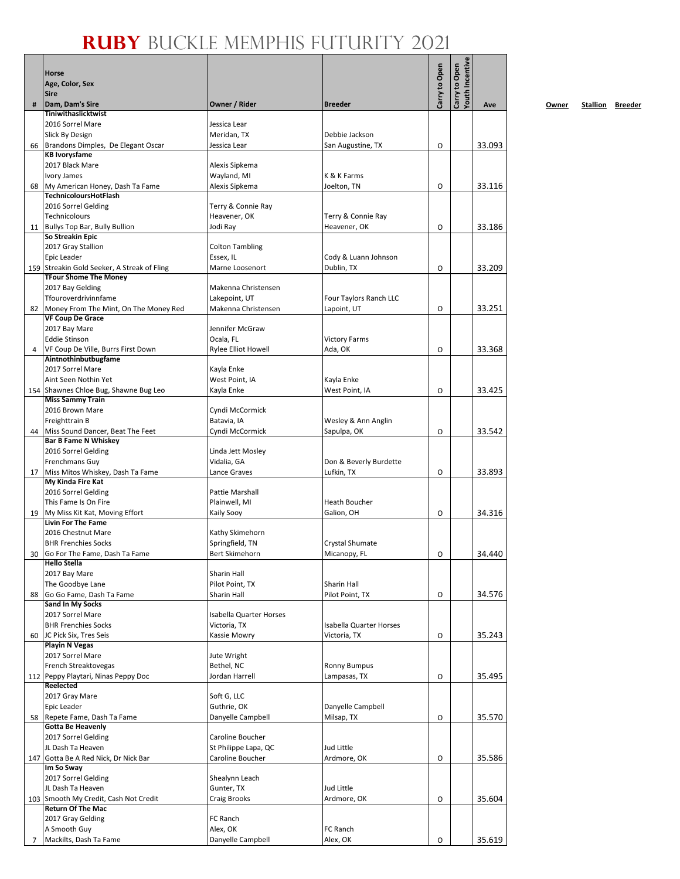|    | <b>Horse</b><br>Age, Color, Sex<br><b>Sire</b>                    |                                         |                                     | Carry to Open | Youth Incentive<br>Carry to Open |        |
|----|-------------------------------------------------------------------|-----------------------------------------|-------------------------------------|---------------|----------------------------------|--------|
| #  | Dam, Dam's Sire                                                   | Owner / Rider                           | <b>Breeder</b>                      |               |                                  | Ave    |
|    | Tiniwithaslicktwist                                               |                                         |                                     |               |                                  |        |
|    | 2016 Sorrel Mare                                                  | Jessica Lear                            |                                     |               |                                  |        |
|    | Slick By Design<br>Brandons Dimples, De Elegant Oscar             | Meridan, TX<br>Jessica Lear             | Debbie Jackson                      | O             |                                  | 33.093 |
| 66 | <b>KB Ivorysfame</b>                                              |                                         | San Augustine, TX                   |               |                                  |        |
|    | 2017 Black Mare                                                   | Alexis Sipkema                          |                                     |               |                                  |        |
|    | Ivory James                                                       | Wayland, MI                             | K & K Farms                         |               |                                  |        |
| 68 | My American Honey, Dash Ta Fame                                   | Alexis Sipkema                          | Joelton, TN                         | O             |                                  | 33.116 |
|    | <b>TechnicoloursHotFlash</b>                                      |                                         |                                     |               |                                  |        |
|    | 2016 Sorrel Gelding<br><b>Technicolours</b>                       | Terry & Connie Ray<br>Heavener, OK      | Terry & Connie Ray                  |               |                                  |        |
| 11 | Bullys Top Bar, Bully Bullion                                     | Jodi Ray                                | Heavener, OK                        | O             |                                  | 33.186 |
|    | So Streakin Epic                                                  |                                         |                                     |               |                                  |        |
|    | 2017 Gray Stallion                                                | <b>Colton Tambling</b>                  |                                     |               |                                  |        |
|    | Epic Leader                                                       | Essex, IL                               | Cody & Luann Johnson                |               |                                  |        |
|    | 159 Streakin Gold Seeker, A Streak of Fling                       | Marne Loosenort                         | Dublin, TX                          | O             |                                  | 33.209 |
|    | <b>TFour Shome The Money</b><br>2017 Bay Gelding                  | Makenna Christensen                     |                                     |               |                                  |        |
|    | Tfouroverdrivinnfame                                              | Lakepoint, UT                           | Four Taylors Ranch LLC              |               |                                  |        |
| 82 | Money From The Mint, On The Money Red                             | Makenna Christensen                     | Lapoint, UT                         | O             |                                  | 33.251 |
|    | <b>VF Coup De Grace</b>                                           |                                         |                                     |               |                                  |        |
|    | 2017 Bay Mare                                                     | Jennifer McGraw                         |                                     |               |                                  |        |
|    | <b>Eddie Stinson</b><br>VF Coup De Ville, Burrs First Down        | Ocala, FL<br><b>Rylee Elliot Howell</b> | <b>Victory Farms</b><br>Ada, OK     | O             |                                  | 33.368 |
| 4  | Aintnothinbutbugfame                                              |                                         |                                     |               |                                  |        |
|    | 2017 Sorrel Mare                                                  | Kayla Enke                              |                                     |               |                                  |        |
|    | Aint Seen Nothin Yet                                              | West Point, IA                          | Kayla Enke                          |               |                                  |        |
|    | 154 Shawnes Chloe Bug, Shawne Bug Leo                             | Kayla Enke                              | West Point, IA                      | O             |                                  | 33.425 |
|    | <b>Miss Sammy Train</b>                                           |                                         |                                     |               |                                  |        |
|    | 2016 Brown Mare<br>Freighttrain B                                 | Cyndi McCormick<br>Batavia, IA          | Wesley & Ann Anglin                 |               |                                  |        |
| 44 | Miss Sound Dancer, Beat The Feet                                  | Cyndi McCormick                         | Sapulpa, OK                         | O             |                                  | 33.542 |
|    | <b>Bar B Fame N Whiskey</b>                                       |                                         |                                     |               |                                  |        |
|    | 2016 Sorrel Gelding                                               | Linda Jett Mosley                       |                                     |               |                                  |        |
|    | <b>Frenchmans Guy</b>                                             | Vidalia, GA                             | Don & Beverly Burdette              |               |                                  |        |
| 17 | Miss Mitos Whiskey, Dash Ta Fame<br>My Kinda Fire Kat             | Lance Graves                            | Lufkin, TX                          | O             |                                  | 33.893 |
|    | 2016 Sorrel Gelding                                               | Pattie Marshall                         |                                     |               |                                  |        |
|    | This Fame Is On Fire                                              | Plainwell, MI                           | Heath Boucher                       |               |                                  |        |
|    | 19 My Miss Kit Kat, Moving Effort                                 | Kaily Sooy                              | Galion, OH                          | O             |                                  | 34.316 |
|    | <b>Livin For The Fame</b>                                         |                                         |                                     |               |                                  |        |
|    | 2016 Chestnut Mare                                                | Kathy Skimehorn                         |                                     |               |                                  |        |
|    | <b>BHR Frenchies Socks</b><br>30 Go For The Fame, Dash Ta Fame    | Springfield, TN<br>Bert Skimehorn       | Crystal Shumate<br>Micanopy, FL     | O             |                                  | 34.440 |
|    | <b>Hello Stella</b>                                               |                                         |                                     |               |                                  |        |
|    | 2017 Bay Mare                                                     | Sharin Hall                             |                                     |               |                                  |        |
|    | The Goodbye Lane                                                  | Pilot Point, TX                         | Sharin Hall                         |               |                                  |        |
| 88 | Go Go Fame, Dash Ta Fame                                          | Sharin Hall                             | Pilot Point, TX                     | O             |                                  | 34.576 |
|    | <b>Sand In My Socks</b><br>2017 Sorrel Mare                       | <b>Isabella Quarter Horses</b>          |                                     |               |                                  |        |
|    | <b>BHR Frenchies Socks</b>                                        | Victoria, TX                            | <b>Isabella Quarter Horses</b>      |               |                                  |        |
| 60 | JC Pick Six, Tres Seis                                            | Kassie Mowry                            | Victoria, TX                        | O             |                                  | 35.243 |
|    | <b>Playin N Vegas</b>                                             |                                         |                                     |               |                                  |        |
|    | 2017 Sorrel Mare                                                  | Jute Wright                             |                                     |               |                                  |        |
|    | French Streaktovegas<br>112 Peppy Playtari, Ninas Peppy Doc       | Bethel, NC<br>Jordan Harrell            | <b>Ronny Bumpus</b><br>Lampasas, TX | O             |                                  | 35.495 |
|    | Reelected                                                         |                                         |                                     |               |                                  |        |
|    | 2017 Gray Mare                                                    | Soft G, LLC                             |                                     |               |                                  |        |
|    | Epic Leader                                                       | Guthrie, OK                             | Danyelle Campbell                   |               |                                  |        |
| 58 | Repete Fame, Dash Ta Fame                                         | Danyelle Campbell                       | Milsap, TX                          | O             |                                  | 35.570 |
|    | <b>Gotta Be Heavenly</b>                                          | Caroline Boucher                        |                                     |               |                                  |        |
|    | 2017 Sorrel Gelding<br>JL Dash Ta Heaven                          | St Philippe Lapa, QC                    | <b>Jud Little</b>                   |               |                                  |        |
|    | 147 Gotta Be A Red Nick, Dr Nick Bar                              | Caroline Boucher                        | Ardmore, OK                         | O             |                                  | 35.586 |
|    | Im So Sway                                                        |                                         |                                     |               |                                  |        |
|    | 2017 Sorrel Gelding                                               | Shealynn Leach                          |                                     |               |                                  |        |
|    | JL Dash Ta Heaven                                                 | Gunter, TX                              | Jud Little                          |               |                                  |        |
|    | 103 Smooth My Credit, Cash Not Credit<br><b>Return Of The Mac</b> | Craig Brooks                            | Ardmore, OK                         | O             |                                  | 35.604 |
|    | 2017 Gray Gelding                                                 | FC Ranch                                |                                     |               |                                  |        |
|    | A Smooth Guy                                                      | Alex, OK                                | FC Ranch                            |               |                                  |        |
| 7  | Mackilts, Dash Ta Fame                                            | Danyelle Campbell                       | Alex, OK                            | O             |                                  | 35.619 |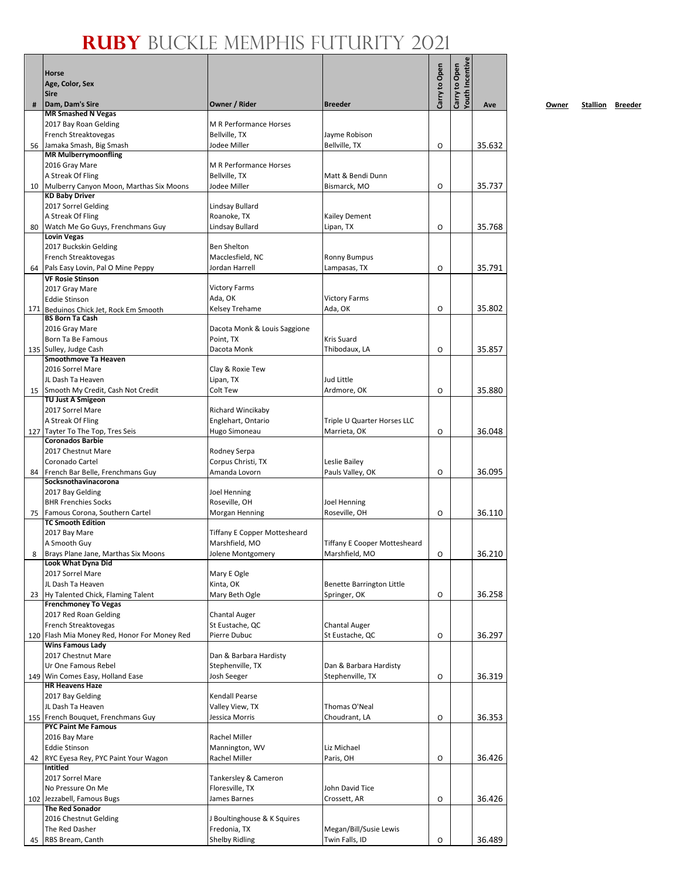|     | Horse                                                                |                                 |                                         | Carry to Open | Youth Incentive<br>Carry to Open |        |
|-----|----------------------------------------------------------------------|---------------------------------|-----------------------------------------|---------------|----------------------------------|--------|
|     | Age, Color, Sex                                                      |                                 |                                         |               |                                  |        |
|     | <b>Sire</b>                                                          |                                 |                                         |               |                                  |        |
| #   | Dam, Dam's Sire<br><b>MR Smashed N Vegas</b>                         | Owner / Rider                   | <b>Breeder</b>                          |               |                                  | Ave    |
|     | 2017 Bay Roan Gelding                                                | M R Performance Horses          |                                         |               |                                  |        |
|     | French Streaktovegas                                                 | Bellville, TX                   | Jayme Robison                           |               |                                  |        |
| 56  | Jamaka Smash, Big Smash                                              | Jodee Miller                    | Bellville, TX                           | O             |                                  | 35.632 |
|     | <b>MR Mulberrymoonfling</b>                                          |                                 |                                         |               |                                  |        |
|     | 2016 Gray Mare                                                       | M R Performance Horses          |                                         |               |                                  |        |
| 10  | A Streak Of Fling<br>Mulberry Canyon Moon, Marthas Six Moons         | Bellville, TX<br>Jodee Miller   | Matt & Bendi Dunn<br>Bismarck, MO       | O             |                                  | 35.737 |
|     | <b>KD Baby Driver</b>                                                |                                 |                                         |               |                                  |        |
|     | 2017 Sorrel Gelding                                                  | Lindsay Bullard                 |                                         |               |                                  |        |
|     | A Streak Of Fling                                                    | Roanoke, TX                     | <b>Kailey Dement</b>                    |               |                                  |        |
| 80  | Watch Me Go Guys, Frenchmans Guy                                     | Lindsay Bullard                 | Lipan, TX                               | O             |                                  | 35.768 |
|     | <b>Lovin Vegas</b>                                                   | <b>Ben Shelton</b>              |                                         |               |                                  |        |
|     | 2017 Buckskin Gelding<br>French Streaktovegas                        | Macclesfield, NC                | <b>Ronny Bumpus</b>                     |               |                                  |        |
| 64  | Pals Easy Lovin, Pal O Mine Peppy                                    | Jordan Harrell                  | Lampasas, TX                            | O             |                                  | 35.791 |
|     | <b>VF Rosie Stinson</b>                                              |                                 |                                         |               |                                  |        |
|     | 2017 Gray Mare                                                       | <b>Victory Farms</b>            |                                         |               |                                  |        |
|     | <b>Eddie Stinson</b>                                                 | Ada, OK                         | <b>Victory Farms</b>                    |               |                                  |        |
| 171 | Beduinos Chick Jet, Rock Em Smooth<br><b>BS Born Ta Cash</b>         | Kelsey Trehame                  | Ada, OK                                 | O             |                                  | 35.802 |
|     | 2016 Gray Mare                                                       | Dacota Monk & Louis Saggione    |                                         |               |                                  |        |
|     | Born Ta Be Famous                                                    | Point, TX                       | <b>Kris Suard</b>                       |               |                                  |        |
|     | 135 Sulley, Judge Cash                                               | Dacota Monk                     | Thibodaux, LA                           | O             |                                  | 35.857 |
|     | Smoothmove Ta Heaven                                                 |                                 |                                         |               |                                  |        |
|     | 2016 Sorrel Mare<br>JL Dash Ta Heaven                                | Clay & Roxie Tew<br>Lipan, TX   | Jud Little                              |               |                                  |        |
|     | 15 Smooth My Credit, Cash Not Credit                                 | Colt Tew                        | Ardmore, OK                             | O             |                                  | 35.880 |
|     | <b>TU Just A Smigeon</b>                                             |                                 |                                         |               |                                  |        |
|     | 2017 Sorrel Mare                                                     | Richard Wincikaby               |                                         |               |                                  |        |
|     | A Streak Of Fling                                                    | Englehart, Ontario              | Triple U Quarter Horses LLC             |               |                                  |        |
|     | 127 Tayter To The Top, Tres Seis<br><b>Coronados Barbie</b>          | Hugo Simoneau                   | Marrieta, OK                            | O             |                                  | 36.048 |
|     | 2017 Chestnut Mare                                                   | Rodney Serpa                    |                                         |               |                                  |        |
|     | Coronado Cartel                                                      | Corpus Christi, TX              | Leslie Bailey                           |               |                                  |        |
| 84  | French Bar Belle, Frenchmans Guy                                     | Amanda Lovorn                   | Pauls Valley, OK                        | O             |                                  | 36.095 |
|     | Socksnothavinacorona                                                 |                                 |                                         |               |                                  |        |
|     | 2017 Bay Gelding                                                     | Joel Henning                    |                                         |               |                                  |        |
| 75  | <b>BHR Frenchies Socks</b><br>Famous Corona, Southern Cartel         | Roseville, OH<br>Morgan Henning | Joel Henning<br>Roseville, OH           | O             |                                  | 36.110 |
|     | <b>TC Smooth Edition</b>                                             |                                 |                                         |               |                                  |        |
|     | 2017 Bay Mare                                                        | Tiffany E Copper Mottesheard    |                                         |               |                                  |        |
|     | A Smooth Guy                                                         | Marshfield, MO                  | <b>Tiffany E Cooper Mottesheard</b>     |               |                                  |        |
| 8   | Brays Plane Jane, Marthas Six Moons                                  | Jolene Montgomery               | Marshfield, MO                          | О             |                                  | 36.210 |
|     | Look What Dyna Did<br>2017 Sorrel Mare                               | Mary E Ogle                     |                                         |               |                                  |        |
|     | JL Dash Ta Heaven                                                    | Kinta, OK                       | <b>Benette Barrington Little</b>        |               |                                  |        |
|     | 23 Hy Talented Chick, Flaming Talent                                 | Mary Beth Ogle                  | Springer, OK                            | O             |                                  | 36.258 |
|     | <b>Frenchmoney To Vegas</b>                                          |                                 |                                         |               |                                  |        |
|     | 2017 Red Roan Gelding                                                | <b>Chantal Auger</b>            |                                         |               |                                  |        |
|     | French Streaktovegas<br>120 Flash Mia Money Red, Honor For Money Red | St Eustache, QC<br>Pierre Dubuc | <b>Chantal Auger</b><br>St Eustache, QC | O             |                                  | 36.297 |
|     | <b>Wins Famous Lady</b>                                              |                                 |                                         |               |                                  |        |
|     | 2017 Chestnut Mare                                                   | Dan & Barbara Hardisty          |                                         |               |                                  |        |
|     | Ur One Famous Rebel                                                  | Stephenville, TX                | Dan & Barbara Hardisty                  |               |                                  |        |
|     | 149 Win Comes Easy, Holland Ease<br><b>HR Heavens Haze</b>           | Josh Seeger                     | Stephenville, TX                        | O             |                                  | 36.319 |
|     | 2017 Bay Gelding                                                     | <b>Kendall Pearse</b>           |                                         |               |                                  |        |
|     | JL Dash Ta Heaven                                                    | Valley View, TX                 | Thomas O'Neal                           |               |                                  |        |
|     | 155 French Bouquet, Frenchmans Guy                                   | Jessica Morris                  | Choudrant, LA                           | O             |                                  | 36.353 |
|     | <b>PYC Paint Me Famous</b>                                           |                                 |                                         |               |                                  |        |
|     | 2016 Bay Mare                                                        | Rachel Miller                   |                                         |               |                                  |        |
|     | <b>Eddie Stinson</b><br>42 RYC Eyesa Rey, PYC Paint Your Wagon       | Mannington, WV<br>Rachel Miller | Liz Michael<br>Paris, OH                | O             |                                  | 36.426 |
|     | <b>Intitled</b>                                                      |                                 |                                         |               |                                  |        |
|     | 2017 Sorrel Mare                                                     | Tankersley & Cameron            |                                         |               |                                  |        |
|     | No Pressure On Me                                                    | Floresville, TX                 | John David Tice                         |               |                                  |        |
|     | 102 Jezzabell, Famous Bugs                                           | James Barnes                    | Crossett, AR                            | O             |                                  | 36.426 |
|     | <b>The Red Sonador</b><br>2016 Chestnut Gelding                      | J Boultinghouse & K Squires     |                                         |               |                                  |        |
|     | The Red Dasher                                                       | Fredonia, TX                    | Megan/Bill/Susie Lewis                  |               |                                  |        |
| 45  | RBS Bream, Canth                                                     | <b>Shelby Ridling</b>           | Twin Falls, ID                          | O             |                                  | 36.489 |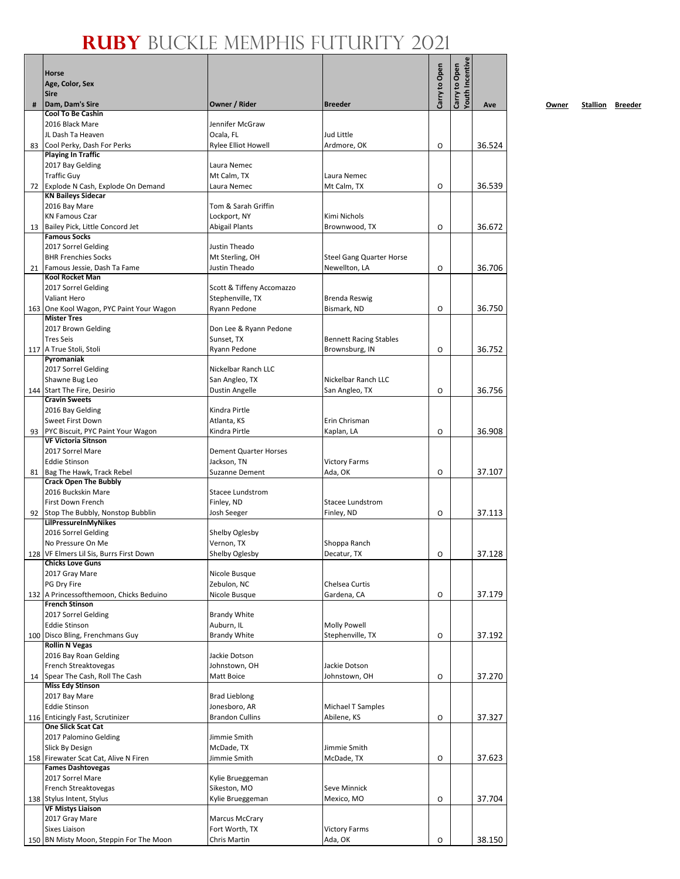|    | <b>Horse</b><br>Age, Color, Sex<br><b>Sire</b>                     |                                               |                                                 | Carry to Open | Youth Incentive<br>Carry to Open |        |
|----|--------------------------------------------------------------------|-----------------------------------------------|-------------------------------------------------|---------------|----------------------------------|--------|
| #  | Dam, Dam's Sire                                                    | Owner / Rider                                 | <b>Breeder</b>                                  |               |                                  | Ave    |
|    | <b>Cool To Be Cashin</b>                                           |                                               |                                                 |               |                                  |        |
|    | 2016 Black Mare<br>JL Dash Ta Heaven                               | Jennifer McGraw<br>Ocala, FL                  | Jud Little                                      |               |                                  |        |
| 83 | Cool Perky, Dash For Perks                                         | <b>Rylee Elliot Howell</b>                    | Ardmore, OK                                     | O             |                                  | 36.524 |
|    | <b>Playing In Traffic</b>                                          |                                               |                                                 |               |                                  |        |
|    | 2017 Bay Gelding                                                   | Laura Nemec                                   |                                                 |               |                                  |        |
| 72 | <b>Traffic Guv</b><br>Explode N Cash, Explode On Demand            | Mt Calm, TX<br>Laura Nemec                    | Laura Nemec<br>Mt Calm, TX                      | O             |                                  | 36.539 |
|    | <b>KN Baileys Sidecar</b>                                          |                                               |                                                 |               |                                  |        |
|    | 2016 Bay Mare                                                      | Tom & Sarah Griffin                           |                                                 |               |                                  |        |
|    | <b>KN Famous Czar</b>                                              | Lockport, NY                                  | Kimi Nichols                                    |               |                                  |        |
| 13 | Bailey Pick, Little Concord Jet<br><b>Famous Socks</b>             | <b>Abigail Plants</b>                         | Brownwood, TX                                   | O             |                                  | 36.672 |
|    | 2017 Sorrel Gelding                                                | Justin Theado                                 |                                                 |               |                                  |        |
|    | <b>BHR Frenchies Socks</b>                                         | Mt Sterling, OH                               | <b>Steel Gang Quarter Horse</b>                 |               |                                  |        |
|    | 21 Famous Jessie, Dash Ta Fame                                     | Justin Theado                                 | Newellton, LA                                   | O             |                                  | 36.706 |
|    | <b>Kool Rocket Man</b>                                             |                                               |                                                 |               |                                  |        |
|    | 2017 Sorrel Gelding<br>Valiant Hero                                | Scott & Tiffeny Accomazzo<br>Stephenville, TX | Brenda Reswig                                   |               |                                  |        |
|    | 163 One Kool Wagon, PYC Paint Your Wagon                           | Ryann Pedone                                  | Bismark, ND                                     | O             |                                  | 36.750 |
|    | <b>Mister Tres</b>                                                 |                                               |                                                 |               |                                  |        |
|    | 2017 Brown Gelding                                                 | Don Lee & Ryann Pedone                        |                                                 |               |                                  |        |
|    | <b>Tres Seis</b><br>117 A True Stoli, Stoli                        | Sunset, TX<br>Ryann Pedone                    | <b>Bennett Racing Stables</b><br>Brownsburg, IN | O             |                                  | 36.752 |
|    | Pyromaniak                                                         |                                               |                                                 |               |                                  |        |
|    | 2017 Sorrel Gelding                                                | Nickelbar Ranch LLC                           |                                                 |               |                                  |        |
|    | Shawne Bug Leo                                                     | San Angleo, TX                                | Nickelbar Ranch LLC                             |               |                                  |        |
|    | 144 Start The Fire, Desirio                                        | Dustin Angelle                                | San Angleo, TX                                  | O             |                                  | 36.756 |
|    | <b>Cravin Sweets</b><br>2016 Bay Gelding                           | Kindra Pirtle                                 |                                                 |               |                                  |        |
|    | Sweet First Down                                                   | Atlanta, KS                                   | Erin Chrisman                                   |               |                                  |        |
| 93 | PYC Biscuit, PYC Paint Your Wagon                                  | Kindra Pirtle                                 | Kaplan, LA                                      | O             |                                  | 36.908 |
|    | <b>VF Victoria Sitnson</b>                                         |                                               |                                                 |               |                                  |        |
|    | 2017 Sorrel Mare<br><b>Eddie Stinson</b>                           | <b>Dement Quarter Horses</b><br>Jackson, TN   | <b>Victory Farms</b>                            |               |                                  |        |
| 81 | Bag The Hawk, Track Rebel                                          | Suzanne Dement                                | Ada, OK                                         | O             |                                  | 37.107 |
|    | <b>Crack Open The Bubbly</b>                                       |                                               |                                                 |               |                                  |        |
|    | 2016 Buckskin Mare                                                 | Stacee Lundstrom                              |                                                 |               |                                  |        |
|    | First Down French                                                  | Finley, ND                                    | Stacee Lundstrom                                |               |                                  |        |
| 92 | Stop The Bubbly, Nonstop Bubblin<br>LilPressureInMyNikes           | Josh Seeger                                   | Finley, ND                                      | O             |                                  | 37.113 |
|    | 2016 Sorrel Gelding                                                | Shelby Oglesby                                |                                                 |               |                                  |        |
|    | No Pressure On Me                                                  | Vernon, TX                                    | Shoppa Ranch                                    |               |                                  |        |
|    | 128 VF Elmers Lil Sis, Burrs First Down<br><b>Chicks Love Guns</b> | Shelby Oglesby                                | Decatur, TX                                     | O             |                                  | 37.128 |
|    | 2017 Gray Mare                                                     | Nicole Busque                                 |                                                 |               |                                  |        |
|    | PG Dry Fire                                                        | Zebulon, NC                                   | Chelsea Curtis                                  |               |                                  |        |
|    | 132 A Princessofthemoon, Chicks Beduino                            | Nicole Busque                                 | Gardena, CA                                     | O             |                                  | 37.179 |
|    | <b>French Stinson</b>                                              |                                               |                                                 |               |                                  |        |
|    | 2017 Sorrel Gelding<br><b>Eddie Stinson</b>                        | <b>Brandy White</b><br>Auburn, IL             | <b>Molly Powell</b>                             |               |                                  |        |
|    | 100 Disco Bling, Frenchmans Guy                                    | <b>Brandy White</b>                           | Stephenville, TX                                | O             |                                  | 37.192 |
|    | <b>Rollin N Vegas</b>                                              |                                               |                                                 |               |                                  |        |
|    | 2016 Bay Roan Gelding                                              | Jackie Dotson                                 |                                                 |               |                                  |        |
|    | French Streaktovegas                                               | Johnstown, OH<br>Matt Boice                   | Jackie Dotson                                   |               |                                  |        |
| 14 | Spear The Cash, Roll The Cash<br><b>Miss Edy Stinson</b>           |                                               | Johnstown, OH                                   | O             |                                  | 37.270 |
|    | 2017 Bay Mare                                                      | <b>Brad Lieblong</b>                          |                                                 |               |                                  |        |
|    | <b>Eddie Stinson</b>                                               | Jonesboro, AR                                 | Michael T Samples                               |               |                                  |        |
|    | 116 Enticingly Fast, Scrutinizer                                   | <b>Brandon Cullins</b>                        | Abilene, KS                                     | O             |                                  | 37.327 |
|    | <b>One Slick Scat Cat</b><br>2017 Palomino Gelding                 | Jimmie Smith                                  |                                                 |               |                                  |        |
|    | Slick By Design                                                    | McDade, TX                                    | Jimmie Smith                                    |               |                                  |        |
|    | 158 Firewater Scat Cat, Alive N Firen                              | Jimmie Smith                                  | McDade, TX                                      | O             |                                  | 37.623 |
|    | <b>Fames Dashtovegas</b>                                           |                                               |                                                 |               |                                  |        |
|    | 2017 Sorrel Mare                                                   | Kylie Brueggeman                              |                                                 |               |                                  |        |
|    | French Streaktovegas<br>138 Stylus Intent, Stylus                  | Sikeston, MO<br>Kylie Brueggeman              | Seve Minnick<br>Mexico, MO                      | O             |                                  | 37.704 |
|    | <b>VF Mistys Liaison</b>                                           |                                               |                                                 |               |                                  |        |
|    | 2017 Gray Mare                                                     | Marcus McCrary                                |                                                 |               |                                  |        |
|    | <b>Sixes Liaison</b>                                               | Fort Worth, TX                                | <b>Victory Farms</b>                            |               |                                  |        |
|    | 150 BN Misty Moon, Steppin For The Moon                            | Chris Martin                                  | Ada, OK                                         | O             |                                  | 38.150 |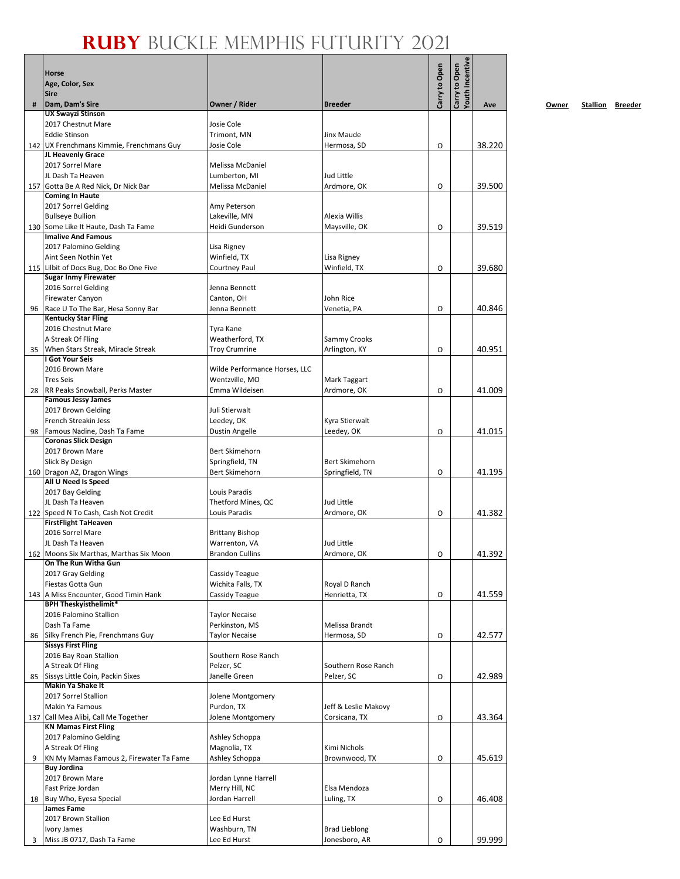|    | <b>Horse</b><br>Age, Color, Sex<br><b>Sire</b>                        |                                  |                              | Carry to Open | Youth Incentive<br>Carry to Open |        |
|----|-----------------------------------------------------------------------|----------------------------------|------------------------------|---------------|----------------------------------|--------|
| #  | Dam, Dam's Sire                                                       | Owner / Rider                    | <b>Breeder</b>               |               |                                  | Ave    |
|    | <b>UX Swayzi Stinson</b>                                              |                                  |                              |               |                                  |        |
|    | 2017 Chestnut Mare                                                    | Josie Cole                       |                              |               |                                  |        |
|    | <b>Eddie Stinson</b>                                                  | Trimont, MN                      | Jinx Maude                   |               |                                  |        |
|    | 142 UX Frenchmans Kimmie, Frenchmans Guy<br>JL Heavenly Grace         | Josie Cole                       | Hermosa, SD                  | O             |                                  | 38.220 |
|    | 2017 Sorrel Mare                                                      | Melissa McDaniel                 |                              |               |                                  |        |
|    | JL Dash Ta Heaven                                                     | Lumberton, MI                    | Jud Little                   |               |                                  |        |
|    | 157 Gotta Be A Red Nick, Dr Nick Bar                                  | Melissa McDaniel                 | Ardmore, OK                  | O             |                                  | 39.500 |
|    | <b>Coming In Haute</b>                                                |                                  |                              |               |                                  |        |
|    | 2017 Sorrel Gelding                                                   | Amy Peterson                     |                              |               |                                  |        |
|    | <b>Bullseye Bullion</b>                                               | Lakeville, MN                    | Alexia Willis                |               |                                  |        |
|    | 130 Some Like It Haute, Dash Ta Fame<br><b>Imalive And Famous</b>     | Heidi Gunderson                  | Maysville, OK                | O             |                                  | 39.519 |
|    | 2017 Palomino Gelding                                                 | Lisa Rigney                      |                              |               |                                  |        |
|    | Aint Seen Nothin Yet                                                  | Winfield, TX                     | Lisa Rigney                  |               |                                  |        |
|    | 115 Lilbit of Docs Bug, Doc Bo One Five                               | Courtney Paul                    | Winfield, TX                 | O             |                                  | 39.680 |
|    | <b>Sugar Inmy Firewater</b>                                           |                                  |                              |               |                                  |        |
|    | 2016 Sorrel Gelding                                                   | Jenna Bennett                    |                              |               |                                  |        |
|    | <b>Firewater Canyon</b>                                               | Canton, OH                       | John Rice                    |               |                                  |        |
| 96 | Race U To The Bar, Hesa Sonny Bar                                     | Jenna Bennett                    | Venetia, PA                  | O             |                                  | 40.846 |
|    | <b>Kentucky Star Fling</b><br>2016 Chestnut Mare                      | Tyra Kane                        |                              |               |                                  |        |
|    | A Streak Of Fling                                                     | Weatherford, TX                  | Sammy Crooks                 |               |                                  |        |
| 35 | When Stars Streak, Miracle Streak                                     | <b>Troy Crumrine</b>             | Arlington, KY                | O             |                                  | 40.951 |
|    | I Got Your Seis                                                       |                                  |                              |               |                                  |        |
|    | 2016 Brown Mare                                                       | Wilde Performance Horses, LLC    |                              |               |                                  |        |
|    | <b>Tres Seis</b>                                                      | Wentzville, MO                   | Mark Taggart                 |               |                                  |        |
| 28 | RR Peaks Snowball, Perks Master                                       | Emma Wildeisen                   | Ardmore, OK                  | O             |                                  | 41.009 |
|    | <b>Famous Jessy James</b>                                             |                                  |                              |               |                                  |        |
|    | 2017 Brown Gelding                                                    | Juli Stierwalt                   |                              |               |                                  |        |
| 98 | French Streakin Jess<br>Famous Nadine, Dash Ta Fame                   | Leedey, OK<br>Dustin Angelle     | Kyra Stierwalt<br>Leedey, OK | O             |                                  | 41.015 |
|    | <b>Coronas Slick Design</b>                                           |                                  |                              |               |                                  |        |
|    | 2017 Brown Mare                                                       | Bert Skimehorn                   |                              |               |                                  |        |
|    | Slick By Design                                                       | Springfield, TN                  | Bert Skimehorn               |               |                                  |        |
|    | 160 Dragon AZ, Dragon Wings                                           | <b>Bert Skimehorn</b>            | Springfield, TN              | O             |                                  | 41.195 |
|    | All U Need Is Speed                                                   |                                  |                              |               |                                  |        |
|    | 2017 Bay Gelding                                                      | Louis Paradis                    |                              |               |                                  |        |
|    | JL Dash Ta Heaven                                                     | Thetford Mines, QC               | Jud Little                   |               |                                  |        |
|    | 122 Speed N To Cash, Cash Not Credit<br><b>FirstFlight TaHeaven</b>   | Louis Paradis                    | Ardmore, OK                  | O             |                                  | 41.382 |
|    | 2016 Sorrel Mare                                                      | <b>Brittany Bishop</b>           |                              |               |                                  |        |
|    | JL Dash Ta Heaven                                                     | Warrenton, VA                    | Jud Little                   |               |                                  |        |
|    | 162 Moons Six Marthas, Marthas Six Moon                               | <b>Brandon Cullins</b>           | Ardmore, OK                  | O             |                                  | 41.392 |
|    | On The Run Witha Gun                                                  |                                  |                              |               |                                  |        |
|    | 2017 Gray Gelding                                                     | Cassidy Teague                   |                              |               |                                  |        |
|    | Fiestas Gotta Gun                                                     | Wichita Falls, TX                | Royal D Ranch                |               |                                  |        |
|    | 143 A Miss Encounter, Good Timin Hank<br><b>BPH Theskyisthelimit*</b> | Cassidy Teague                   | Henrietta, TX                | O             |                                  | 41.559 |
|    | 2016 Palomino Stallion                                                | <b>Taylor Necaise</b>            |                              |               |                                  |        |
|    | Dash Ta Fame                                                          | Perkinston, MS                   | Melissa Brandt               |               |                                  |        |
| 86 | Silky French Pie, Frenchmans Guy                                      | <b>Taylor Necaise</b>            | Hermosa, SD                  | O             |                                  | 42.577 |
|    | <b>Sissys First Fling</b>                                             |                                  |                              |               |                                  |        |
|    | 2016 Bay Roan Stallion                                                | Southern Rose Ranch              |                              |               |                                  |        |
|    | A Streak Of Fling                                                     | Pelzer, SC                       | Southern Rose Ranch          |               |                                  |        |
| 85 | Sissys Little Coin, Packin Sixes<br><b>Makin Ya Shake It</b>          | Janelle Green                    | Pelzer, SC                   | O             |                                  | 42.989 |
|    | 2017 Sorrel Stallion                                                  | Jolene Montgomery                |                              |               |                                  |        |
|    | Makin Ya Famous                                                       | Purdon, TX                       | Jeff & Leslie Makovy         |               |                                  |        |
|    | 137 Call Mea Alibi, Call Me Together                                  | Jolene Montgomery                | Corsicana, TX                | O             |                                  | 43.364 |
|    | <b>KN Mamas First Fling</b>                                           |                                  |                              |               |                                  |        |
|    | 2017 Palomino Gelding                                                 | Ashley Schoppa                   |                              |               |                                  |        |
|    | A Streak Of Fling                                                     | Magnolia, TX                     | Kimi Nichols                 |               |                                  |        |
| 9  | KN My Mamas Famous 2, Firewater Ta Fame                               | Ashley Schoppa                   | Brownwood, TX                | O             |                                  | 45.619 |
|    | <b>Buy Jordina</b>                                                    |                                  |                              |               |                                  |        |
|    | 2017 Brown Mare                                                       | Jordan Lynne Harrell             |                              |               |                                  |        |
|    | Fast Prize Jordan                                                     | Merry Hill, NC<br>Jordan Harrell | Elsa Mendoza                 |               |                                  |        |
| 18 | Buy Who, Eyesa Special<br><b>James Fame</b>                           |                                  | Luling, TX                   | O             |                                  | 46.408 |
|    | 2017 Brown Stallion                                                   | Lee Ed Hurst                     |                              |               |                                  |        |
|    | Ivory James                                                           | Washburn, TN                     | <b>Brad Lieblong</b>         |               |                                  |        |
| 3  | Miss JB 0717, Dash Ta Fame                                            | Lee Ed Hurst                     | Jonesboro, AR                | O             |                                  | 99.999 |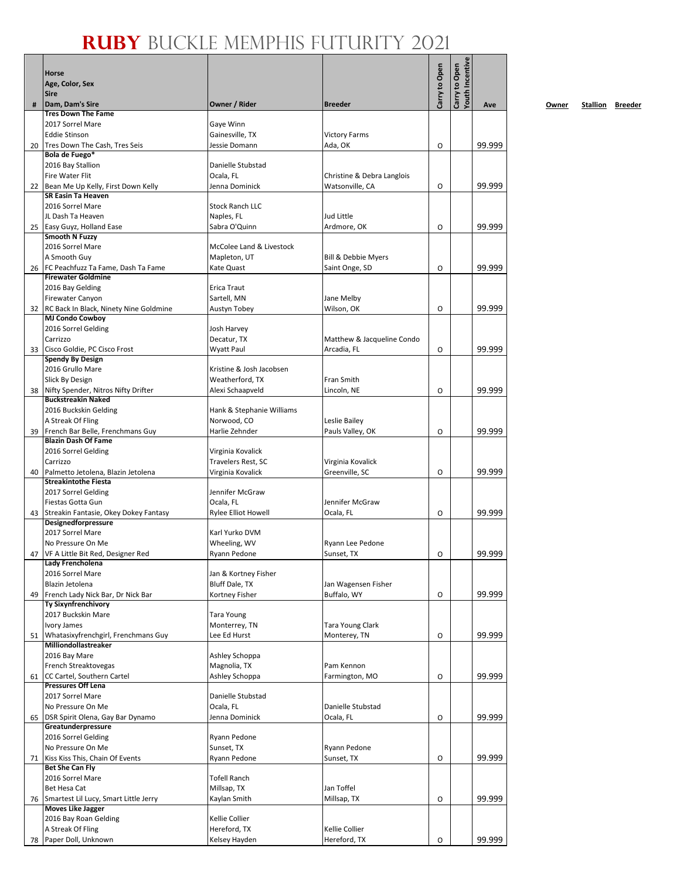|    | Horse<br>Age, Color, Sex<br><b>Sire</b>                       |                                          |                                | Carry to Open | Youth Incentive<br>Carry to Open |        |
|----|---------------------------------------------------------------|------------------------------------------|--------------------------------|---------------|----------------------------------|--------|
| #  | Dam, Dam's Sire                                               | Owner / Rider                            | <b>Breeder</b>                 |               |                                  | Ave    |
|    | <b>Tres Down The Fame</b>                                     |                                          |                                |               |                                  |        |
|    | 2017 Sorrel Mare                                              | Gaye Winn                                |                                |               |                                  |        |
|    | <b>Eddie Stinson</b>                                          | Gainesville, TX                          | <b>Victory Farms</b>           |               |                                  |        |
| 20 | Tres Down The Cash, Tres Seis<br>Bola de Fuego*               | Jessie Domann                            | Ada, OK                        | O             |                                  | 99.999 |
|    | 2016 Bay Stallion                                             | Danielle Stubstad                        |                                |               |                                  |        |
|    | <b>Fire Water Flit</b>                                        | Ocala, FL                                | Christine & Debra Langlois     |               |                                  |        |
|    | 22 Bean Me Up Kelly, First Down Kelly                         | Jenna Dominick                           | Watsonville, CA                | O             |                                  | 99.999 |
|    | <b>SR Easin Ta Heaven</b>                                     |                                          |                                |               |                                  |        |
|    | 2016 Sorrel Mare                                              | <b>Stock Ranch LLC</b>                   |                                |               |                                  |        |
|    | JL Dash Ta Heaven                                             | Naples, FL                               | Jud Little                     |               |                                  |        |
|    | 25 Easy Guyz, Holland Ease<br>Smooth N Fuzzy                  | Sabra O'Quinn                            | Ardmore, OK                    | O             |                                  | 99.999 |
|    | 2016 Sorrel Mare                                              | McColee Land & Livestock                 |                                |               |                                  |        |
|    | A Smooth Guy                                                  | Mapleton, UT                             | <b>Bill &amp; Debbie Myers</b> |               |                                  |        |
|    | 26   FC Peachfuzz Ta Fame, Dash Ta Fame                       | Kate Quast                               | Saint Onge, SD                 | O             |                                  | 99.999 |
|    | <b>Firewater Goldmine</b>                                     |                                          |                                |               |                                  |        |
|    | 2016 Bay Gelding                                              | Erica Traut                              |                                |               |                                  |        |
|    | <b>Firewater Canyon</b>                                       | Sartell, MN                              | Jane Melby                     |               |                                  |        |
| 32 | RC Back In Black, Ninety Nine Goldmine                        | Austyn Tobey                             | Wilson, OK                     | O             |                                  | 99.999 |
|    | <b>MJ Condo Cowboy</b><br>2016 Sorrel Gelding                 | Josh Harvey                              |                                |               |                                  |        |
|    | Carrizzo                                                      | Decatur, TX                              | Matthew & Jacqueline Condo     |               |                                  |        |
| 33 | Cisco Goldie, PC Cisco Frost                                  | Wyatt Paul                               | Arcadia, FL                    | O             |                                  | 99.999 |
|    | <b>Spendy By Design</b>                                       |                                          |                                |               |                                  |        |
|    | 2016 Grullo Mare                                              | Kristine & Josh Jacobsen                 |                                |               |                                  |        |
|    | Slick By Design                                               | Weatherford, TX                          | Fran Smith                     |               |                                  |        |
| 38 | Nifty Spender, Nitros Nifty Drifter                           | Alexi Schaapveld                         | Lincoln, NE                    | O             |                                  | 99.999 |
|    | <b>Buckstreakin Naked</b>                                     |                                          |                                |               |                                  |        |
|    | 2016 Buckskin Gelding<br>A Streak Of Fling                    | Hank & Stephanie Williams<br>Norwood, CO | Leslie Bailey                  |               |                                  |        |
| 39 | French Bar Belle, Frenchmans Guy                              | Harlie Zehnder                           | Pauls Valley, OK               | O             |                                  | 99.999 |
|    | <b>Blazin Dash Of Fame</b>                                    |                                          |                                |               |                                  |        |
|    | 2016 Sorrel Gelding                                           | Virginia Kovalick                        |                                |               |                                  |        |
|    | Carrizzo                                                      | Travelers Rest, SC                       | Virginia Kovalick              |               |                                  |        |
| 40 | Palmetto Jetolena, Blazin Jetolena                            | Virginia Kovalick                        | Greenville, SC                 | O             |                                  | 99.999 |
|    | <b>Streakintothe Fiesta</b>                                   |                                          |                                |               |                                  |        |
|    | 2017 Sorrel Gelding                                           | Jennifer McGraw<br>Ocala, FL             | Jennifer McGraw                |               |                                  |        |
|    | Fiestas Gotta Gun<br>43 Streakin Fantasie, Okey Dokey Fantasy | Rylee Elliot Howell                      | Ocala, FL                      | O             |                                  | 99.999 |
|    | Designedforpressure                                           |                                          |                                |               |                                  |        |
|    | 2017 Sorrel Mare                                              | Karl Yurko DVM                           |                                |               |                                  |        |
|    | No Pressure On Me                                             | Wheeling, WV                             | Ryann Lee Pedone               |               |                                  |        |
| 47 | VF A Little Bit Red, Designer Red                             | Ryann Pedone                             | Sunset, TX                     | O             |                                  | 99.999 |
|    | Lady Frencholena                                              | Jan & Kortney Fisher                     |                                |               |                                  |        |
|    | 2016 Sorrel Mare<br>Blazin Jetolena                           | <b>Bluff Dale, TX</b>                    | Jan Wagensen Fisher            |               |                                  |        |
| 49 | French Lady Nick Bar, Dr Nick Bar                             | Kortney Fisher                           | Buffalo, WY                    | O             |                                  | 99.999 |
|    | <b>Ty Sixynfrenchivory</b>                                    |                                          |                                |               |                                  |        |
|    | 2017 Buckskin Mare                                            | Tara Young                               |                                |               |                                  |        |
|    | Ivory James                                                   | Monterrey, TN                            | <b>Tara Young Clark</b>        |               |                                  |        |
| 51 | Whatasixyfrenchgirl, Frenchmans Guy<br>Milliondollastreaker   | Lee Ed Hurst                             | Monterey, TN                   | O             |                                  | 99.999 |
|    | 2016 Bay Mare                                                 | Ashley Schoppa                           |                                |               |                                  |        |
|    | French Streaktovegas                                          | Magnolia, TX                             | Pam Kennon                     |               |                                  |        |
| 61 | CC Cartel, Southern Cartel                                    | Ashley Schoppa                           | Farmington, MO                 | O             |                                  | 99.999 |
|    | <b>Pressures Off Lena</b>                                     |                                          |                                |               |                                  |        |
|    | 2017 Sorrel Mare                                              | Danielle Stubstad                        |                                |               |                                  |        |
|    | No Pressure On Me                                             | Ocala, FL                                | Danielle Stubstad              |               |                                  |        |
| 65 | DSR Spirit Olena, Gay Bar Dynamo                              | Jenna Dominick                           | Ocala, FL                      | O             |                                  | 99.999 |
|    | Greatunderpressure<br>2016 Sorrel Gelding                     | Ryann Pedone                             |                                |               |                                  |        |
|    | No Pressure On Me                                             | Sunset, TX                               | Ryann Pedone                   |               |                                  |        |
| 71 | Kiss Kiss This, Chain Of Events                               | Ryann Pedone                             | Sunset, TX                     | O             |                                  | 99.999 |
|    | <b>Bet She Can Fly</b>                                        |                                          |                                |               |                                  |        |
|    | 2016 Sorrel Mare                                              | <b>Tofell Ranch</b>                      |                                |               |                                  |        |
|    | Bet Hesa Cat                                                  | Millsap, TX                              | Jan Toffel                     |               |                                  |        |
| 76 | Smartest Lil Lucy, Smart Little Jerry                         | Kaylan Smith                             | Millsap, TX                    | O             |                                  | 99.999 |
|    | <b>Moves Like Jagger</b>                                      |                                          |                                |               |                                  |        |
|    | 2016 Bay Roan Gelding<br>A Streak Of Fling                    | Kellie Collier<br>Hereford, TX           | <b>Kellie Collier</b>          |               |                                  |        |
| 78 | Paper Doll, Unknown                                           | Kelsey Hayden                            | Hereford, TX                   | O             |                                  | 99.999 |
|    |                                                               |                                          |                                |               |                                  |        |